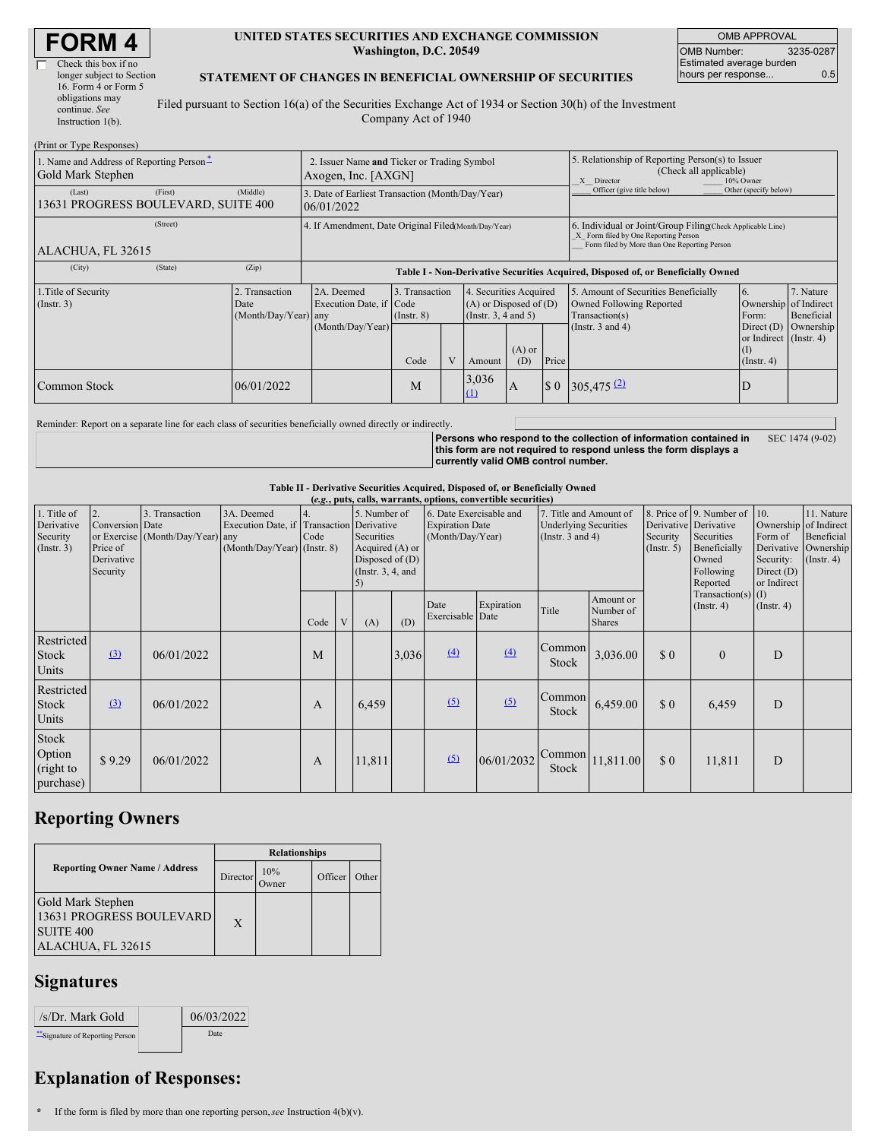| <b>FORM 4</b> |  |
|---------------|--|
|---------------|--|

| longer subject to Section |
|---------------------------|
|                           |
|                           |
|                           |
|                           |
|                           |

### **UNITED STATES SECURITIES AND EXCHANGE COMMISSION Washington, D.C. 20549**

OMB APPROVAL OMB Number: 3235-0287 Estimated average burden hours per response... 0.5

### **STATEMENT OF CHANGES IN BENEFICIAL OWNERSHIP OF SECURITIES**

Filed pursuant to Section 16(a) of the Securities Exchange Act of 1934 or Section 30(h) of the Investment Company Act of 1940

| (Print or Type Responses)                                     |                                                |                                                                                  |                                   |  |                                                                                   |                 |                                                                                                                                                    |                                                                                    |                                                                           |                         |  |
|---------------------------------------------------------------|------------------------------------------------|----------------------------------------------------------------------------------|-----------------------------------|--|-----------------------------------------------------------------------------------|-----------------|----------------------------------------------------------------------------------------------------------------------------------------------------|------------------------------------------------------------------------------------|---------------------------------------------------------------------------|-------------------------|--|
| 1. Name and Address of Reporting Person-<br>Gold Mark Stephen |                                                | 2. Issuer Name and Ticker or Trading Symbol<br>Axogen, Inc. [AXGN]               |                                   |  |                                                                                   |                 | 5. Relationship of Reporting Person(s) to Issuer<br>(Check all applicable)<br>X Director<br>10% Owner                                              |                                                                                    |                                                                           |                         |  |
| (First)<br>(Last)<br>13631 PROGRESS BOULEVARD, SUITE 400      | (Middle)                                       | 3. Date of Earliest Transaction (Month/Day/Year)<br>06/01/2022                   |                                   |  |                                                                                   |                 | Officer (give title below)                                                                                                                         | Other (specify below)                                                              |                                                                           |                         |  |
| (Street)<br>ALACHUA, FL 32615                                 |                                                | 4. If Amendment, Date Original Filed(Month/Day/Year)                             |                                   |  |                                                                                   |                 | 6. Individual or Joint/Group Filing(Check Applicable Line)<br>X Form filed by One Reporting Person<br>Form filed by More than One Reporting Person |                                                                                    |                                                                           |                         |  |
| (State)<br>(City)                                             | (Zip)                                          | Table I - Non-Derivative Securities Acquired, Disposed of, or Beneficially Owned |                                   |  |                                                                                   |                 |                                                                                                                                                    |                                                                                    |                                                                           |                         |  |
| 1. Title of Security<br>$($ Instr. 3 $)$                      | 2. Transaction<br>Date<br>(Month/Day/Year) any | 2A. Deemed<br>Execution Date, if Code                                            | 3. Transaction<br>$($ Instr. $8)$ |  | 4. Securities Acquired<br>$(A)$ or Disposed of $(D)$<br>$($ Instr. 3, 4 and 5 $)$ |                 |                                                                                                                                                    | 5. Amount of Securities Beneficially<br>Owned Following Reported<br>Transaction(s) | 16.<br>Ownership of Indirect<br>Form:                                     | 7. Nature<br>Beneficial |  |
|                                                               |                                                | (Month/Day/Year)                                                                 | Code                              |  | Amount                                                                            | $(A)$ or<br>(D) | Price                                                                                                                                              | (Instr. $3$ and $4$ )                                                              | Direct (D) Ownership<br>or Indirect (Instr. 4)<br>(I)<br>$($ Instr. 4 $)$ |                         |  |
| Common Stock                                                  | 06/01/2022                                     |                                                                                  | M                                 |  | 3,036<br>$\Omega$                                                                 | $\mathbf{A}$    | \$0                                                                                                                                                | $305,475$ <sup>(2)</sup>                                                           | ID                                                                        |                         |  |

Reminder: Report on a separate line for each class of securities beneficially owned directly or indirectly.

**Persons who respond to the collection of information contained in this form are not required to respond unless the form displays a currently valid OMB control number.** SEC 1474 (9-02)

### **Table II - Derivative Securities Acquired, Disposed of, or Beneficially Owned**

|                                                           |                                                             |                                                    |                                                                                        |             |              |                                                                                         |       |                                            | (e.g., puts, calls, warrants, options, convertible securities)                                             |                        |                                         |                                                                                                                   |                                                            |                                                                                               |  |
|-----------------------------------------------------------|-------------------------------------------------------------|----------------------------------------------------|----------------------------------------------------------------------------------------|-------------|--------------|-----------------------------------------------------------------------------------------|-------|--------------------------------------------|------------------------------------------------------------------------------------------------------------|------------------------|-----------------------------------------|-------------------------------------------------------------------------------------------------------------------|------------------------------------------------------------|-----------------------------------------------------------------------------------------------|--|
| 1. Title of<br>Derivative<br>Security<br>$($ Instr. 3 $)$ | 2.<br>Conversion Date<br>Price of<br>Derivative<br>Security | 3. Transaction<br>or Exercise (Month/Day/Year) any | 3A. Deemed<br>Execution Date, if Transaction Derivative<br>(Month/Day/Year) (Instr. 8) | 14.<br>Code |              | 5. Number of<br>Securities<br>Acquired (A) or<br>Disposed of $(D)$<br>(Instr. 3, 4, and |       | <b>Expiration Date</b><br>(Month/Day/Year) | 6. Date Exercisable and<br>7. Title and Amount of<br><b>Underlying Securities</b><br>(Instr. $3$ and $4$ ) |                        | Security<br>$($ Instr. 5 $)$            | 8. Price of 9. Number of<br>Derivative Derivative<br>Securities<br>Beneficially<br>Owned<br>Following<br>Reported | 10.<br>Form of<br>Security:<br>Direct $(D)$<br>or Indirect | 11. Nature<br>Ownership of Indirect<br>Beneficial<br>Derivative Ownership<br>$($ Instr. 4 $)$ |  |
|                                                           |                                                             |                                                    |                                                                                        | Code        | $\mathbf{V}$ | (A)                                                                                     | (D)   | Date<br>Exercisable Date                   | Expiration                                                                                                 | Title                  | Amount or<br>Number of<br><b>Shares</b> |                                                                                                                   | $Transaction(s)$ (I)<br>(Insert. 4)                        | (Insert. 4)                                                                                   |  |
| Restricted<br><b>Stock</b><br>Units                       | $\Omega$                                                    | 06/01/2022                                         |                                                                                        | M           |              |                                                                                         | 3,036 | $\overline{(4)}$                           | (4)                                                                                                        | Common<br><b>Stock</b> | 3,036.00                                | \$0                                                                                                               | $\Omega$                                                   | D                                                                                             |  |
| Restricted<br><b>Stock</b><br>Units                       | $\Omega$                                                    | 06/01/2022                                         |                                                                                        | A           |              | 6,459                                                                                   |       | (5)                                        | (5)                                                                                                        | Common<br>Stock        | 6,459.00                                | \$0                                                                                                               | 6,459                                                      | D                                                                                             |  |
| Stock<br>Option<br>(right to<br>purchase)                 | \$9.29                                                      | 06/01/2022                                         |                                                                                        | A           |              | 11,811                                                                                  |       | (5)                                        | 06/01/2032                                                                                                 | Common<br>Stock        | 11,811.00                               | \$0                                                                                                               | 11,811                                                     | D                                                                                             |  |

# **Reporting Owners**

|                                                                                            | <b>Relationships</b> |                     |         |       |  |  |  |
|--------------------------------------------------------------------------------------------|----------------------|---------------------|---------|-------|--|--|--|
| <b>Reporting Owner Name / Address</b>                                                      | Director             | 10%<br><b>Twner</b> | Officer | Other |  |  |  |
| Gold Mark Stephen<br>13631 PROGRESS BOULEVARD<br>SUITE <sub>400</sub><br>ALACHUA, FL 32615 | X                    |                     |         |       |  |  |  |

## **Signatures**

| /s/Dr. Mark Gold                 | 06/03/2022 |
|----------------------------------|------------|
| ** Signature of Reporting Person | Date       |

# **Explanation of Responses:**

**\*** If the form is filed by more than one reporting person,*see* Instruction 4(b)(v).